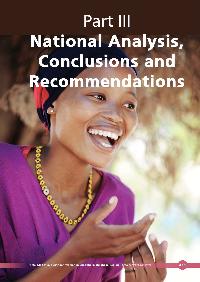# Part III National Analysis, Conclusions and Recommendations

Photo: **Ms Sofia, a Ju'|hoan woman in Skoonheid, Omaheke Region** (Photo by Velina Ninkova) **435** 

Case of Case of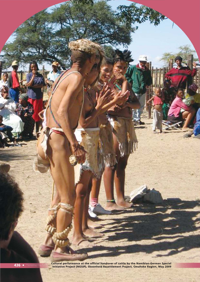the official handover of cattle by the Namibian-German Special (Individual and Special) (ASG) (Particle by the Namibian-German Special)<br>Initiative Project (NGSIP), Skoonheid Resettlement Project, Omaheke Region, May 2009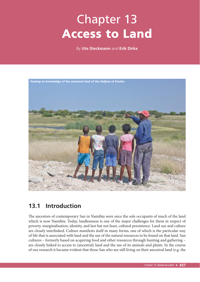# Chapter 13 Access to Land

By **Ute Dieckmann** and **Erik Dirkx**



# **13.1 Introduction**

The ancestors of contemporary San in Namibia were once the sole occupants of much of the land which is now Namibia. Today, landlessness is one of the major challenges for them in respect of poverty, marginalisation, identity, and last but not least, cultural persistence. Land use and culture are closely interlinked. Culture manifests itself in many forms, one of which is the particular way of life that is associated with land and the use of the natural resources to be found on that land. San cultures – formerly based on acquiring food and other resources through hunting and gathering – are closely linked to access to (ancestral) land and the use of its animals and plants. In the course of our research it became evident that those San who are still living on their ancestral land (e.g. the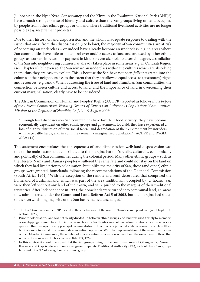Ju|'hoansi in the Nyae Nyae Conservancy and the Khwe in the Bwabwata National Park (BNP)<sup>1</sup>) have a much stronger sense of identity and culture than the San groups living on land occupied by people from other ethnic groups or on land where traditional livelihood activities are no longer possible (e.g. resettlement projects).

Due to their history of land dispossession and the wholly inadequate response to dealing with the issues that arose from this dispossession (see below), the majority of San communities are at risk of becoming an underclass – or indeed have already become an underclass, e.g. in areas where San communities have little or no control over and/or access to land and are used by other ethnic groups as workers in return for payment in kind, or even alcohol. To a certain degree, assimilation of the San into neighbouring cultures has already taken place in some areas, e.g. in Omusati Region (see Chapter 8), but even so, the San remain an underclass within the cultures which are absorbing them, thus they are easy to exploit. This is because the San have not been *fully* integrated into the cultures of their neighbours, i.e. to the extent that they are allowed equal access to (customary) rights and resources (e.g. land). When addressing the issue of land and Namibian San communities, the connection between culture and access to land, and the importance of land in overcoming their current marginalisation, clearly have to be considered.

The African Commission on Human and Peoples' Rights (ACHPR) reported as follows in its *Report of the African Commission's Working Groups of Experts on Indigenous Populations/Communities: Mission to the Republic of Namibia, 26 July – 5 August 2005*:

"Through land dispossession San communities have lost their food security; they have become economically dependent on other ethnic groups and government food aid, they have experienced a loss of dignity, disruption of their social fabric, and degradation of their environment by intruders with large cattle herds; and, in sum, they remain a marginalized population." (ACHPR and IWGIA 2008: 113)

This statement encapsulates the consequences of land dispossession well: land dispossession was one of the main factors that contributed to the marginalisation (socially, culturally, economically and politically) of San communities during the colonial period. Many other ethnic groups – such as the Herero, Nama and Damara peoples - suffered the same fate and could not stay on the land on which they had lived prior to colonisation; but unlike the majority of San, these (and other) ethnic groups were granted 'homelands' following the recommendations of the Odendaal Commission (South Africa 1964).<sup>2</sup> With the exception of the remote and semi-desert area that comprised the homeland of Bushmanland, which was part of the area traditionally occupied by Ju|'hoansi, San were then left without any land of their own, and were pushed to the margins of their traditional territories. After Independence in 1990, the homelands were turned into communal land, i.e. areas now administered under the **Communal Land Reform Act 5 of 2002**, but the marginalised status of the overwhelming majority of the San has remained unchanged.<sup>3</sup>

<sup>1</sup> The few !Xun living in the BNP moved to the area because of the war for Namibia's independence (see Chapter 10, section 10.2.2).

<sup>2</sup> Prior to colonisation, land was not clearly divided up between ethnic groups, and land was used flexibly by members of overlapping communities. The German – and later the South African – colonial administration created reserves for specific ethnic groups in every principal farming district. These reserves provided a labour source for white settlers, but they were too small to accommodate an entire population. With the implementation of the recommendations of the Odendaal Commission, the number of existing native reserves was reduced and the overall size of those that remained was increased (Dieckmann 2007b: 124, 176).

In this context it should be noted that the San groups living in the communal areas of Ohangwena, Omusati, Kavango and Caprivi do not have a recognised separate Traditional Authority (TA); each of these San groups falls under the TA of a neighbouring ethnic group.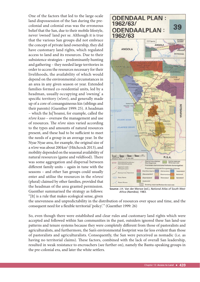One of the factors that led to the large-scale land dispossession of the San during the precolonial and colonial eras was the erroneous belief that the San, due to their mobile lifestyle, never 'owned' land per se. Although it is true that the various San groups did not embrace the concept of private land ownership, they did have customary land rights, which regulated access to land and its resources. Due to their subsistence strategies – predominantly hunting and gathering – they needed large territories in order to access the resources necessary for their livelihoods, the availability of which would depend on the environmental circumstances in an area in any given season or year. Extended families formed co-residential units, led by a headman, usually occupying and 'owning' a specific territory (*n!ore*), and generally made up of a core of consanguineous kin (siblings and their parents) (Guenther 1999: 25). A headman – which the Ju|'hoansi, for example, called the *n!ore kxao* – oversaw the management and use of resources. The *n!ore* sizes varied according to the types and amounts of natural resources present, and these had to be sufficient to meet the needs of a group in an average year. In the Nyae Nyae area, for example, the original size of a *n!ore* was about 200 km<sup>2</sup> (Hitchcock 2013), and mobility depended on the seasonal availability of natural resources (game and veldfood). There was some aggregation and dispersal between different family units - again in tune with the seasons – and other San groups could usually enter and utilise the resources in the *n!oresi* (plural) claimed by other families, provided that the headman of the area granted permission. Guenther summarised the strategy as follows: "[It] is a rule that makes ecological sense, given



**Source:** J.H. Van der Merwe (ed.), *National Atlas of South West Africa (Namibia)*, 1983.

the unevenness and unpredictability in the distribution of resources over space and time, and the consequent need for a flexible territorial 'policy'." (Guenther 1999: 26)

So, even though there were established and clear rules and customary land rights which were accepted and followed within San communities in the past, outsiders ignored these San land-use patterns and tenure systems because they were completely different from those of pastoralists and agriculturalists, and furthermore, the San's environmental footprint was far less evident than those of pastoralists and agriculturalists. Consequently, the San were perceived as nomadic (i.e. as having no territorial claims). These factors, combined with the lack of overall San leadership, resulted in weak resistance to encroachers (see further on), namely the Bantu-speaking groups in the pre-colonial era, and later the white settlers.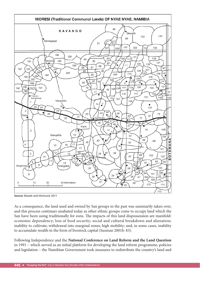

**Source:** Biesele and Hitchcock 2011

As a consequence, the land used and owned by San groups in the past was summarily taken over, and this process continues unabated today as other ethnic groups come to occupy land which the San have been using traditionally for eons. The impacts of this land dispossession are manifold: economic dependency; loss of food security; social and cultural breakdown and alienation; inability to cultivate; withdrawal into marginal zones; high mobility; and, in some cases, inability to accumulate wealth in the form of livestock capital (Suzman 2001b: 83).

Following Independence and the **National Conference on Land Reform and the Land Question**  in 1991 – which served as an initial platform for developing the land reform programme, policies and legislation – the Namibian Government took measures to redistribute the country's land and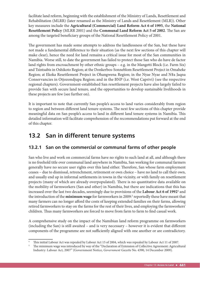facilitate land reform, beginning with the establishment of the Ministry of Lands, Resettlement and Rehabilitation (MLRR) (later renamed as the Ministry of Lands and Resettlement (MLR)). Other key measures include the **Agricultural (Commercial) Land Reform Act 6 of 1995**, the **National Resettlement Policy** (MLRR 2001) and the **Communal Land Reform Act 5 of 2002**. The San are among the targeted beneficiary groups of the National Resettlement Policy of 2001.

The government has made some attempts to address the landlessness of the San, but these have not made a fundamental difference to their situation (as the next few sections of this chapter will make clear), hence the need for land remains a critical issue for most of the San communities in Namibia. Worse still, to date the government has failed to protect those San who do have de factor land rights from encroachment by other ethnic groups – e.g. in the Mangetti Block (i.e. Farm Six) and Tsintsabis in Oshikoto Region; at the Donkerbos-Sonneblom Resettlement Project in Omaheke Region; at Ekoka Resettlement Project in Ohangwena Region; in the Nyae Nyae and N‡a Jaqna Conservancies in Otjozondjupa Region; and in the BNP (i.e. West Caprivi) (see the respective regional chapters). Government-established San resettlement projects have also largely failed to provide San with secure land tenure, and the opportunities to develop sustainable livelihoods in these projects are few (see further on).

It is important to note that currently San people's access to land varies considerably from region to region and between different land tenure systems. The next few sections of this chapter provide meaningful data on San people's access to land in different land tenure systems in Namibia. This detailed information will facilitate comprehension of the recommendations put forward at the end of this chapter.

# **13.2 San in different tenure systems**

# **13.2.1 San on the commercial or communal farms of other people**

San who live and work on commercial farms have no rights to such land at all, and although there is no freehold title over communal land anywhere in Namibia, San working for communal farmers generally have no secure user rights over this land either. Therefore, San whose farm employment ceases – due to dismissal, retrenchment, retirement or own choice – have no land to call their own, and usually end up in informal settlements in towns in the vicinity, or with family on resettlement projects (many of which are already overpopulated). There is no quantitative data available on the mobility of farmworkers (San and other) in Namibia, but there are indications that this has increased over the last two decades, seemingly due to provisions of the **Labour Act 6 of 1992**<sup>4</sup> and the introduction of the **minimum wage** for farmworkers in 2009:<sup>5</sup> reportedly these have meant that many farmers can no longer afford the costs of keeping extended families on their farms, allowing retired farmworkers to stay on the farms for the rest of their lives, and employing the farmworkers' children. Thus many farmworkers are forced to move from farm to farm to find casual work.

A comprehensive study on the impact of the Namibian land reform programme on farmworkers (including the San) is still awaited  $-$  and is very necessary  $-$  however it is evident that different components of the programme are not sufficiently aligned with one another or are contradictory.

<sup>4</sup> This initial Labour Act was repealed by Labour Act 15 of 2004, which was repealed by Labour Act 11 of 2007.

The minimum wage was introduced by way of the "Declaration of Extension of Collective Agreement: Agricultural Industry: Labour Act, 2007" (Government Notice, *Government Gazette* No. 4390, 14 December 2009).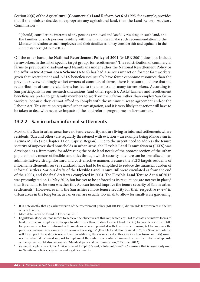Section 20(6) of the **Agricultural (Commercial) Land Reform Act 6 of 1995**, for example, provides that if the minister decides to expropriate any agricultural land, then the Land Reform Advisory Commission –

"[should] consider the interests of any persons employed and lawfully residing on such land, and the families of such persons residing with them, and may make such recommendation to the Minister in relation to such employees and their families as it may consider fair and equitable in the circumstances." (MLRR 2001a)

On the other hand, the **National Resettlement Policy of 2001** (MLRR 2001) does not include farmworkers in the list of specific target groups for resettlement.<sup>6</sup> The redistribution of commercial farms to previously disadvantaged Namibians under either the National Resettlement Policy or the **Affirmative Action Loan Scheme (AALS)** has had a serious impact on former farmworkers: given that resettlement and AALS beneficiaries usually have fewer economic resources than the previous (overwhelmingly white) owners of commercial farms, there is reason to believe that the redistribution of commercial farms has led to the dismissal of many farmworkers. According to San participants in our research discussions (and other reports), AALS farmers and resettlement beneficiaries prefer to get family members to work on their farms rather than employ San farmworkers, because they cannot afford to comply with the minimum wage agreement and/or the Labour Act. This situation requires further investigation, and it is very likely that action will have to be taken to deal with negative impacts of the land reform programme on farmworkers.

# **13.2.2 San in urban informal settlements**

Most of the San in urban areas have no tenure security, and are living in informal settlements where residents (San and other) are regularly threatened with eviction – an example being Makaravan in Katima Mulilo (see Chapter 11 on Caprivi Region). Due to the urgent need to address the tenure security of impoverished households in urban areas, the **Flexible Land Tenure System (FLTS)** was developed as a framework for addressing the basic land needs of the poorest section of the urban population, by means of flexible land titles through which security of tenure can be formalised in an administratively straightforward and cost-effective manner. Because the FLTS targets residents of informal settlements, survey standards have had to be simplified to reduce the financial burden of informal settlers. Various drafts of the Flexible Land Tenure Bill were circulated as from the end of the 1990s, and the final draft was completed in 2004. The Flexible Land Tenure Act 4 of 2012 was promulgated on 14 May 2012, but has yet to be enforced as its regulations are not yet in place,<sup>7</sup> thus it remains to be seen whether this Act can indeed improve the tenure security of San in urban settlements.<sup>8</sup> However, even if the San achieve more tenure security for their respective *erven*<sup>9</sup> in urban areas in the long term, urban erven are usually too small to allow for small-scale gardening,

<sup>6</sup> It is noteworthy that an earlier version of the resettlement policy (MLRR 1997) did include farmworkers in the list of beneficiaries.

<sup>7</sup> More details can be found in Odendaal 2013.

 $8$  Legislation alone will not suffice to achieve the objectives of this Act, which are: "(a) to create alternative forms of land title that are simpler and cheaper to administer than existing forms of land title; (b) to provide security of title for persons who live in informal settlements or who are provided with low income housing; (c) to empower the persons concerned economically by means of these rights" (Flexible Land Tenure Act 4 of 2012). Stronger political will to support the system is needed, and in addition, the various local authorities (such as town councils) would need substantial technical support to implement the system successfully. Finance to cover the initial startup costs of the system would also be crucial (Odendaal, personal communication, 7 October 2013).

<sup>9</sup> *Erven* is the plural of *erf*, the Afrikaans word for 'plot', 'stand', 'allotment', 'yard' or 'premises' that is commonly used in Namibian policies, legislation and legal documents.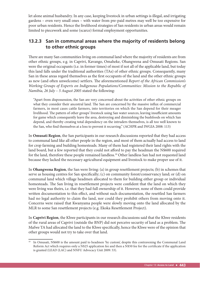let alone animal husbandry. In any case, keeping livestock in urban settings is illegal, and irrigating gardens – even very small ones – with water from pre-paid metres may well be too expensive for poor urban residents. Hence the livelihood strategies of San residents in urban areas would remain limited to piecework and some (scarce) formal employment opportunities.

# **13.2.3 San in communal areas where the majority of residents belong to other ethnic groups**

There are many San communities living on communal land where the majority of residents are from other ethnic groups, e.g. in Caprivi, Kavango, Omaheke, Ohangwena and Omusati Regions. San were the original occupants (i.e. in former times) of most if not all of the applicable land, but today this land falls under the traditional authorities (TAs) of other ethnic groups. Consequently, many San in these areas regard themselves as the first occupants of the land and the other ethnic groups as new (and often unwelcome) settlers. The aforementioned *Report of the African Commission's Working Groups of Experts on Indigenous Populations/Communities: Mission to the Republic of Namibia, 26 July – 5 August 2005* stated the following:

"Apart from dispossession, the San are very concerned about the activities of other ethnic groups on what they consider their ancestral land. The San are concerned by the massive influx of commercial farmers, in most cases cattle farmers, into territories on which the San depend for their meager livelihood. The pattern of other groups' livestock using San water sources, leaving insufficient amounts for game which consequently leave the area, destroying and diminishing the bushfoods on which San depend, and thereby creating total dependency on the intruders themselves, is all too well known to the San, who find themselves at a loss to prevent it recurring." (ACHPR and IWGIA 2008: 113)

In **Omusati Region**, the San participants in our research discussions reported that they had access to communal land like all other people in the region, and most of them actually had access to land for crop farming and building homesteads. Many of them had registered their land rights with the land board, but a few reported that they could not afford to pay the headman the N\$600 required for the land, therefore these people remained landless.<sup>10</sup> Other landless San had not requested land because they lacked the necessary agricultural equipment and livestock to make proper use of it.

In **Ohangwena Region**, the San were living: (a) in group resettlement projects; (b) in schemes that serve as housing centres for San specifically; (c) on community forest/conservancy land; or (d) on communal land which village headmen allocated to them for building either group or individual homesteads. The San living in resettlement projects were confident that the land on which they were living was theirs, i.e. that they had full ownership of it. However, none of them could provide written documentation to this effect, and without such documentation, the resettled San farmers had no legal authority to claim the land, nor could they prohibit others from moving onto it. Concerns were raised that Kwanyama people were slowly moving onto the land allocated by the MLR to some San resettlement projects (e.g. Ekoka Resettlement Project).

In **Caprivi Region**, the Khwe participants in our research discussions said that the Khwe residents of the rural areas of Caprivi (outside the BNP) did not perceive security of land as a problem. The Mafwe TA had allocated the land to the Khwe specifically, hence the Khwe were of the opinion that other groups would not try to take over that land.

<sup>&</sup>lt;sup>10</sup> In Omusati, N\$600 is the amount paid to headmen 'by custom', despite this contravening the Communal Land Reform Act which requires only a N\$25 application fee and then a N\$50 fee for the certificate if the application is granted (LEAD (LAC) and NNFU Advocacy Unit 2009: 53).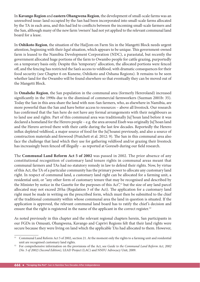In **Kavango Region** and **eastern Ohangwena Region**, the development of small-scale farms was an unresolved issue: land occupied by the San had been incorporated into small-scale farms allocated by the TA in each area, and this had led to conflicts between the incoming small-scale farmers and the San, although many of the new farm 'owners' had not yet applied to the relevant communal land board for a lease.

In **Oshikoto Region**, the situation of the Hai||om on Farm Six in the Mangetti Block needs urgent attention, beginning with their *legal* situation, which appears to be unique. This government-owned farm is leased to the Namibia Development Corporation (NDC), a parastatal, but recently the government allocated huge portions of the farm to Owambo people for cattle grazing, purportedly on a temporary basis only. Despite this 'temporary' allocation, the allocated portions were fenced off, and the fencing has restricted the San's access to veldfood, with dramatic consequences for their food security (see Chapter 6 on Kunene, Oshikoto and Oshana Regions). It remains to be seen whether land for the Owambo will be found elsewhere so that eventually they can be moved out of the Mangetti Block.

In **Omaheke Region**, the San population in the communal area (formerly Hereroland) increased significantly in the 1990s due to the dismissal of commercial farmworkers (Suzman 2001b: 35). Today the San in this area share the land with non-San farmers, who, as elsewhere in Namibia, are more powerful than the San and have better access to resources – above all livestock. Our research has confirmed that the San here do not have any formal arrangements with their neighbours as to land use and rights. Part of this communal area was traditionally Ju|'hoan land before it was declared a homeland for the Herero people – e.g. the area around Eiseb was originally Ju|'hoan land and the Herero arrived there with their cattle during the last few decades. Reportedly the Herero influx depleted veldfood, a major source of food for the Jul'hoansi previously, and also a source of construction materials and firewood (Pratchett et al. 2012: 9). The San in this communal area also face the challenge that land which they use for gathering veldfood and/or grazing their livestock has increasingly been fenced off illegally - as reported at Goreseb during our field research.

The **Communal Land Reform Act 5 of 2002** was passed in 2002. The prior absence of any constitutional recognition of customary land tenure rights in communal areas meant that communal farmers and TAs had no statutory remedy in law to defend their rights. Now, by virtue of this Act, the TA of a particular community has the primary power to allocate any customary land right. In respect of communal land, a customary land right can be allocated for a farming unit, a residential unit, or "any other form of customary tenure that may be recognised and described by the Minister by notice in the Gazette for the purposes of this Act",<sup>11</sup> but the size of any land parcel allocated may not exceed 20 ha (Regulation 3 of the Act). The application for a customary land right must be made in writing on the prescribed form, which must then be submitted to the chief of the traditional community within whose communal area the land in question is situated. If the application is approved, the relevant communal land board has to ratify the chief 's decision and ensure that the right is registered in the name of the applicant in the correct register.<sup>12</sup>

As noted previously in this chapter and the relevant regional chapters herein, San participants in our FGDs in Omusati, Ohangwena, Kavango and Caprivi Regions felt that their land rights were secure because they were living on land which the applicable TAs had allocated to them. However,

<sup>&</sup>lt;sup>11</sup> Communal Land Reform Act 5 of 2002, section 21. At the moment only the rights to a farming unit and residential unit are recognised customary land rights.

<sup>&</sup>lt;sup>12</sup> For comprehensive information on the provisions of the Act, see *Guide to the Communal Land Reform Act*, 2002 *(No. 5 of 2002) (Second Edition),* LEAD Project (LAC) and NNFU Advocacy Unit, 2009.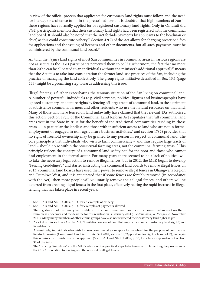in view of the official process that applicants for customary land rights must follow, and the need for literacy or assistance to fill in the prescribed form, it is doubtful that high numbers of San in these regions have formally applied for or registered customary land rights. Only in Omusati did FGD participants mention that their customary land rights had been registered with the communal land board. It should also be noted that the Act forbids payments by applicants to the headman or chief, as this could constitute bribery.13 Section 42(2) of the Act allows for charging prescribed fees for applications and the issuing of licences and other documents, but all such payments must be administered by the communal land board.<sup>14</sup>

All told, the *de jure* land rights of most San communities in communal areas in various regions are not as secure as the FGD participants perceived them to be.<sup>15</sup> Furthermore, the fact that no more than 20 ha can be allocated to an individual (without the minister's additional approval)<sup>16</sup> means that the Act fails to take into consideration the former land-use practices of the San, including the practice of managing the land collectively. The group rights initiative described in Box 13.1 (page 455) might be a promising step towards addressing this issue.

Illegal fencing is further exacerbating the tenuous situation of the San living on communal land. A number of powerful individuals (e.g. civil servants, political figures and businesspeople) have ignored customary land tenure rights by fencing off large tracts of communal land, to the detriment of subsistence communal farmers and other residents who use the natural resources on that land. Many of those who have fenced off land unlawfully have claimed that the relevant TAs authorised this action. Section 17(1) of the Communal Land Reform Act stipulates that "all communal land areas vest in the State in trust for the benefit of the traditional communities residing in those areas ... in particular the landless and those with insufficient access to land who are not in formal employment or engaged in non-agriculture business activities," and section 17(2) provides that no right of freehold ownership may be granted to any person in respect of communal land. The core principle is that individuals who wish to farm commercially – and thus require large tracts of land – should do so within the *commercial* farming areas, not the communal farming areas.<sup>17</sup> This principle reflects the concept of a communal land 'safety net' for the poor and those who cannot find employment in the formal sector. For many years there seemed to be a lack of political will to take the necessary legal action to remove illegal fences, but in 2012, the MLR began to develop "Fencing Guidelines",18 and started instructing the communal land boards to remove illegal fences. In 2013, communal land boards have used their power to remove illegal fences in Ohangwena Region and Tsumkwe West, and it is anticipated that if some fences are forcibly removed (in accordance with the Act), then more people will voluntarily remove their illegal fences, and others will be deterred from erecting illegal fences in the first place, effectively halting the rapid increase in illegal fencing that has taken place in recent years.

<sup>&</sup>lt;sup>13</sup> See LEAD and NNFU 2009, p. 53, for an example of bribery.

<sup>&</sup>lt;sup>14</sup> See LEAD and NNFU 2009, p. 53, for examples of payments allowed.

<sup>&</sup>lt;sup>15</sup> The registration of customary land rights with the communal land boards in the communal areas of northern Namibia is underway, and the deadline for this registration is February 2014 (*The Namibian*, W. Menges, 20 November

<sup>2013).</sup> Many many members of other ethnic groups have also not registered their customary land rights as yet.<br><sup>16</sup> As set down in section 23 of the Act, "Limitation on size of land that may be held under customary land righ Regulation 3.

<sup>&</sup>lt;sup>17</sup> Alternatively, individuals who wish to farm commercially can apply for leasehold for the purpose of commercial livestock farming (Communal Land Reform Act 5 of 2002, section 31, "Application for right of leasehold"), but again this requires the minister's written approval. (See LEAD and NNFU 2009, p. 36, for a fuller explanation of section 31 of the Act).

<sup>&</sup>lt;sup>18</sup> The "Fencing Guidelines" are the MLR's advice on the practical steps to be taken in implementing the provisions of the CLRA in relation to fencing and the removal of illegal fences.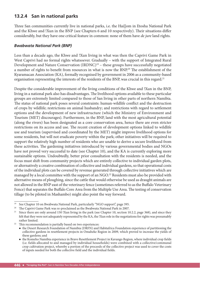# **13.2.4 San in national parks**

Three San communities currently live in national parks, i.e. the Hai||om in Etosha National Park and the Khwe and !Xun in the BNP (see Chapters 6 and 10 respectively). Their situations differ considerably, but they have one critical feature in common: none of them have *de jure* land rights.

# *Bwabwata National Park (BNP)*

Less than a decade ago, the Khwe and !Xun living in what was then the Caprivi Game Park in West Caprivi had no formal rights whatsoever. Gradually – with the support of Integrated Rural Development and Nature Conservation (IRDNC)<sup>19</sup> – these groups have successfully negotiated a number of rights to benefit from resources in what is now the BNP.<sup>20</sup> The establishment of the Kyaramacan Association (KA), formally recognised by government in 2006 as a community-based organisation representing the interests of the residents of the BNP, was crucial in this regard.<sup>21</sup>

Despite the considerable improvement of the living conditions of the Khwe and !Xun in the BNP, living in a national park also has disadvantages. The livelihood options available to these particular groups are extremely limited compared to those of San living in other parts of northern Namibia. The status of national park poses several constraints: human-wildlife conflict and the destruction of crops by wildlife; restrictions on animal husbandry; and restrictions with regard to settlement options and the development of new infrastructure (which the Ministry of Environment and Tourism (MET) discourages). Furthermore, in the BNP, land with the most agricultural potential (along the rivers) has been designated as a core conservation area, hence there are even stricter restrictions on its access and use. The recent creation of development options linked to wildlife use and tourism (supervised and coordinated by the MET) might improve livelihood options for some residents, but will not eradicate poverty within the park; other initiatives will be required to support the relatively high number of residents who are unable to derive a secure livelihood from these activities. The gardening initiatives introduced by various governmental bodies and NGOs have not proved very successful to date (see Chapter 10), and the KA is currently exploring more sustainable options. Undoubtedly, better prior consultation with the residents is needed, and the focus must shift from community projects which are entirely collective to individual garden plots, or alternatively a creative combination of collective and individual gardens, so that operational costs of the individual plots can be covered by revenue generated through collective initiatives which are managed by a local committee with the support of an NGO.<sup>22</sup> Residents must also be provided with alternative means of ploughing, since the cattle that would otherwise be used as draught animals are not allowed in the BNP east of the veterinary fence (sometimes referred to as the Buffalo Veterinary Fence) that separates the Buffalo Core Area from the Multiple Use Area. The testing of conservation tillage (to be piloted in Mashambo) might also point the way forward.

<sup>&</sup>lt;sup>19</sup> See Chapter 10 on Bwabwata National Park, particularly "NGO support", page 395.<br><sup>20</sup> The Caprivi Game Park was re-proclaimed as the Bugbyata National Park in 2007.

The Caprivi Game Park was re-proclaimed as the Bwabwata National Park in 2007.

<sup>&</sup>lt;sup>21</sup> Since there are only around 150 !Xun living in the park (see Chapter 10, section 10.2.2, page 368), and since they felt that they were not adequately represented by the KA, the !Xun role in the negotiations for rights was presumably rather limited.

 $22$  This recommendation is partially based on two experiences:

the Desert Research Foundation of Namibia (DRFN) and Habitafrica Foundation experience of partitioning the collective gardens in resettlement projects in Omaheke Region in 2009, which proved to increase the yields of these gardens; and

the Komeho Namibia experience in Bravo Resettlement Project in Kavango Region, where individual crop fields (i.e. fields allocated to and managed by individual households) were combined with a collective/communal crop cultivation project, whereby a portion of the proceeds of the collective project was used to cover the costs of inputs needed for both the collective field and the individual fields.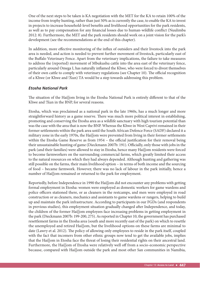One of the next steps to be taken is KA negotiation with the MET for the KA to retain 100% of the income from trophy hunting, rather than just 50% as is currently the case, to enable the KA to invest in projects to increase household-level benefits and livelihood opportunities for the park residents, as well as to pay compensation for any financial losses due to human-wildlife conflict (Nuulimba 2012: 8). Furthermore, the MET and the park residents should work on a joint vision for the park's development (see the recommendations at the end of this chapter).

In addition, more effective monitoring of the influx of outsiders and their livestock into the park area is needed, and action is needed to prevent further movement of livestock, particularly east of the Buffalo Veterinary Fence. Apart from the veterinary implications, the failure to take measures to address the (reported) movement of Mbukushu cattle into the area east of the veterinary fence, particularly around Omega I, has naturally inflamed the Khwe, who were forced to divest themselves of their own cattle to comply with veterinary regulations (see Chapter 10). The official recognition of a Khwe (or Khwe and !Xun) TA would be a step towards addressing this problem.

#### *Etosha National Park*

The situation of the Hai||om living in the Etosha National Park is entirely different to that of the Khwe and !Xun in the BNP, for several reasons.

Etosha, which was proclaimed as a national park in the late 1960s, has a much longer and more straightforward history as a game reserve. There was much more political interest in establishing, promoting and conserving the Etosha area as a wildlife sanctuary with high tourism potential than was the case with the area that is now the BNP. Whereas the Khwe in West Caprivi remained in their former settlements within the park area until the South African Defence Force (SADF) declared it a military zone in the early 1970s, the Hai||om were prevented from living in their former settlements within the Etosha Game Reserve as from 1954 – the official justification for their removal being their unsustainable hunting of game (Dieckmann 2007b: 191). Officially, only those with jobs in the park (and their families) were allowed to stay in Etosha, hence many Hai||om residents were forced to become farmworkers on the surrounding commercial farms, which greatly limited their access to the natural resources on which they had always depended. Although hunting and gathering was still possible on the farms, their main livelihood option – in terms of both income and the sourcing of food – became farmwork. However, there was no lack of labour in the park initially, hence a number of Hai||om remained or returned to the park for employment.

Reportedly, before Independence in 1990 the Hai||om did not encounter any problems with getting formal employment in Etosha: women were employed as domestic workers for game wardens and police officers stationed there, or as cleaners in the restcamps, and men were employed in road construction or as cleaners, mechanics and assistants to game wardens or rangers, helping to build up and maintain the park infrastructure. According to participants in our FGDs (and respondents in previous studies), this employment situation gradually changed after Independence, and today, the children of the former Hai||om employees face increasing problems in getting employment in the park (Dieckmann 2007b: 199-200, 275). As reported in Chapter 10, the government has purchased resettlement farms in the Etosha area (south and more recently east of the park) on which to resettle the unemployed and retired Hai||om, but the livelihood options on these farms are minimal to date (Lawry et al. 2012). The policy of allowing only employees to reside in the park itself, coupled with the fact that incomers from other ethnic groups now tend to get the available jobs, implies that the Hai||om in Etosha face the threat of losing their residential rights on their ancestral land. Furthermore, the Hai||om of Etosha were relatively well off from a socio-economic perspective because, compared with Hai||om outside the park and most other San communities in Namibia,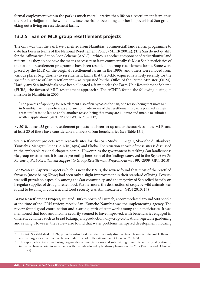formal employment within the park is much more lucrative than life on a resettlement farm, thus the Etosha Hai||om on the whole now face the risk of becoming another impoverished San group, eking out a living on resettlement farms.

# **13.2.5 San on MLR group resettlement projects**

The only way that the San have benefited from Namibia's (commercial) land reform programme to date has been in terms of the National Resettlement Policy (MLRR 2001a). (The San do not qualify for the Affirmative Action Loan Scheme (AALS) – which is another component of redistributive land reform – as they do not have the means necessary to farm commercially.)<sup>23</sup> Most San beneficiaries of the national resettlement programme have been resettled on group resettlement farms. Some were placed by the MLR on the original resettlement farms in the 1990s, and others were moved from various places (e.g. Etosha) to resettlement farms that the MLR acquired relatively recently for the specific purpose of San resettlement – as requested by the Office of the Prime Minister (OPM). Hardly any San individuals have been allocated a farm under the Farm Unit Resettlement Scheme (FURS), the favoured MLR resettlement approach.<sup>24</sup> The ACHPR found the following during its mission to Namibia in 2005:

"The process of applying for resettlement also often bypasses the San, one reason being that most San in Namibia live in remote areas and are not made aware of the resettlement projects planned in their areas until it is too late to apply, another reason being that many are illiterate and unable to submit a written application." (ACHPR and IWGIA 2008: 112)

By 2010, at least 55 group resettlement projects had been set up under the auspices of the MLR, and at least 23 of these have considerable numbers of San beneficiaries (see Table 13.1).

Six resettlement projects were research sites for this San Study: Omega I, Skoonheid, Blouberg, Tsintsabis, Mangetti Dune (i.e. N‡a Jaqna) and Ekoka. The situation at each of these sites is discussed in the applicable regional chapters herein. However, as the government is tackling San landlessness via group resettlement, it is worth presenting here some of the findings conveyed in the *Report on the Review of Post-Resettlement Support to Group Resettlement Projects/Farms 1991-2009* (GRN 2010).

For **Western Caprivi Project** (which is now the BNP), the review found that most of the resettled farmers (most being Khwe) had seen only a slight improvement in their standard of living. Poverty was still prevalent, especially among the San community, and the majority of San relied heavily on irregular supplies of drought relief food. Furthermore, the destruction of crops by wild animals was found to be a major concern, and food security was still threatened. (GRN 2010: 17)

**Bravo Resettlement Project,** situated 100 km north of Tsumeb, accommodated around 500 people at the time of the GRN review, mostly San. Komeho Namibia was the implementing agency. The review found good coordination and a strong spirit of teamwork among the beneficiaries. It was mentioned that food and income security seemed to have improved, with beneficiaries engaged in different activities such as bread baking, jam production, dry-crop cultivation, vegetable gardening and sewing. However, the review also found that water problems hampered development, housing

<sup>&</sup>lt;sup>23</sup> The AALS, established in 1992, provides subsidised loans to previously disadvantaged Namibians to enable them to acquire large-scale commercial farms under freehold title (Werner and Odendaal 2010: 3).

<sup>&</sup>lt;sup>24</sup> This approach entails purchasing large-scale commercial farms and subdividing them into units for allocation to individual beneficiaries in accordance with plans developed by land-use planners in the MLR (Werner and Odendaal 2010: 25).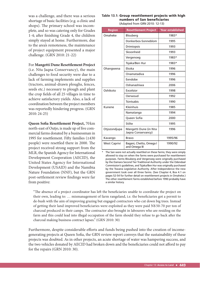was a challenge, and there was a serious shortage of basic facilities (e.g. a clinic and shops). The primary school was incomplete, and so was catering only for Grades 1-4; after finishing Grade 4, the children simply stayed at home. Furthermore, due to the area's remoteness, the maintenance of project equipment presented a major challenge. (GRN 2010: 21-22)

#### For **Mangetti Dune Resettlement Project**

(i.e. N‡a Jaqna Conservancy), the main challenges to food security were due to a lack of farming implements and supplies (tractors, animal-drawn ploughs, fences, seeds etc.) necessary to plough and plant the crop fields of all 25 villages in time to achieve satisfactory yields. Also, a lack of coordination between the project members was reportedly hindering progress. (GRN 2010: 24-25)

**Queen Sofia Resettlement Project, 70 km** north-east of Outjo, is made up of five commercial farms donated by a businessman in 1995 for resettlement. Fifty families  $(\pm 430)$ people) were resettled there in 2000. The project received strong support from the MLR, the Spanish Agency for International Development Cooperation (AECID)*,* the United States Agency for International Development (USAID) and the Namibia Nature Foundation (NNF), but the GRN post-settlement review findings were far from positive:

#### **Table 13.1:** Group resettlement projects with high numbers of San beneficiaries (Adapted from GRN 2010: 12-13)

| <b>Region</b>       | <b>Resettlement Project</b>                 | <b>Year established</b> |
|---------------------|---------------------------------------------|-------------------------|
| Omaheke             | Blouberg                                    | 1983*                   |
|                     | Donkerbos-Sonneblom                         | 1995                    |
|                     | <b>Drimiopsis</b>                           | 1993                    |
|                     | Skoonheid                                   | 1993                    |
|                     | Vergenoeg                                   | 1983*                   |
|                     | Tsjaka/Ben Hur                              | 1983*                   |
| Ohangwena           | Ekoka                                       | 1996                    |
|                     | Onamatadiva                                 | 1996                    |
|                     | Eendobe                                     | 1996                    |
|                     | Oshanashiwa                                 | 2006                    |
| Oshikoto            | Excelsior                                   | 1998                    |
|                     | Oerwoud                                     | 1992                    |
|                     | <b>Tsintsabis</b>                           | 1990                    |
| Kunene              | Kleinhuis                                   | 1985                    |
|                     | Namatanga                                   | 1994                    |
|                     | Queen Sofia                                 | 2000                    |
|                     | <b>Stilte</b>                               | 1995                    |
| Otjozondjupa        | Mangetti Dune (in N‡a<br>Jaqna Conservancy) | 1996                    |
| Kavango             | <b>Bravo</b>                                | 1995/96                 |
| <b>West Caprivi</b> | Bagani, Chetto, Omega I<br>and Omega III    | 1990/92                 |

\* The San were not actually resettled on these farms; they were simply allowed to stay on when the farms were purchased for resettlement purposes. Farms Blouberg and Vergenoeg were originally purchased by the Damara Second Tier Traditional Authority under the Odendaal Commission's guidelines, and Tsjaka/Ben Hur was originally purchased by the Tswana Legislative Authority. After Independence the new government took over all three farms. (See Chapter 4, Box 4.1 on pages 52-54 for further detail on resettlement projects in Omaheke.) The other resettlement farms established before 1990 probably have a similar history.

"The absence of a project coordinator has left the beneficiaries unable to coordinate the project on their own, leading to: ... mismanagement of farm rangeland, i.e. the beneficiaries got a permit to de-bush with the aim of improving grazing but engaged contractors who cut down big trees. Instead of getting their land improved beneficiaries were exploited as they were paid N\$ 50-70 per ton of charcoal produced in their camps. The contractor also brought in labourers who are residing on the farm and this could lead into illegal occupation of the farm should they refuse to go back after the charcoal making business contract lapses." (GRN 2010: 30)

Furthermore, despite considerable efforts and funds being pushed into the creation of incomegenerating projects at Queen Sofia, the GRN review report conveys that the sustainability of these projects was doubted. As in other projects, an acute shortage of water was hampering success, and the two vehicles donated by AECID had broken down and the beneficiaries could not afford to pay for the repairs (GRN 2010: 30).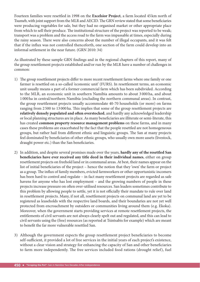Fourteen families were resettled in 1998 on the **Excelsior Project**, a farm located 45 km north of Tsumeb, with joint support from the MLR and AECID. The GRN review stated that some beneficiaries were producing vegetables for sale, but they had no organised market or other appropriate place from which to sell their produce. The institutional structure of the project was reported to be weak; transport was a problem and the access road to the farm was impassable at times, especially during the rainy season. There were also concerns about the number of illegal occupants, and it was felt that if the influx was not controlled thenceforth, one section of the farm could develop into an informal settlement in the near future. (GRN 2010: 34)

As illustrated by these sample GRN findings and in the regional chapters of this report, many of the group resettlement projects established and/or run by the MLR have a number of challenges in common:

- 1) The group resettlement projects differ to more recent resettlement farms where one family or one farmer is resettled on a so-called 'economic unit' (FURS). In resettlement terms, an economic unit usually means a part of a former commercial farm which has been subdivided. According to the MLR, an economic unit in southern Namibia amounts to about 3 000 ha, and about 1 000 ha in central/northern Namibia (excluding the northern communal areas). In contrast, the group resettlement projects usually accommodate 40-70 households (or more) on farms ranging from 2500 to 13000 ha. This implies that some of the group resettlement projects are relatively densely populated and often overstocked, and hardly any acknowledged leadership or local planning structures are in place. As many beneficiaries are illiterate or semi-literate, this has created **common property resource management problems** on these farms, and in many cases these problems are exacerbated by the fact that the people resettled are not homogeneous groups, but rather hail from different ethnic and linguistic groups. The San at many projects feel dominated by beneficiaries of other ethnic groups, who usually own more assets (livestock, draught power etc.) than the San beneficiaries.
- 2) In addition, and despite several promises made over the years, **hardly any of the resettled San beneficiaries have ever received any title deed in their individual names**, either on group resettlement projects on freehold land or in communal areas. At best, their names appear on the list of initial beneficiaries of the project – hence the notion that they 'own' the farm or project as a group. The influx of family members, evicted farmworkers or other opportunistic incomers has been hard to control and regulate – in fact many resettlement projects are regarded as safe havens for anyone who has lost employment – and the growing numbers of people in these projects increase pressure on often over-utilised resources. San leaders sometimes contribute to this problem by allowing people to settle, yet it is not officially their mandate to rule over land in resettlement projects. Many, if not all, resettlement projects on communal land are yet to be registered as leaseholds with the respective land boards, and their boundaries are not yet well protected from encroachment by outsiders or communities living around them (e.g. Ekoka). Moreover, when the government starts providing services at remote resettlement projects, the entitlements of civil servants are not always clearly spelt out and regulated, and this can lead to civil servants using the (free) resources (as reported at Tsintsabis for example) which are meant to benefit the far more vulnerable resettled San.
- 3) Although the government expects the group resettlement project beneficiaries to become self-sufficient, it provided a lot of free services in the initial years of each project's existence, without a clear vision and strategy for enhancing the capacity of San and other beneficiaries to farm more independently. The free services included food rations (drought relief), fuel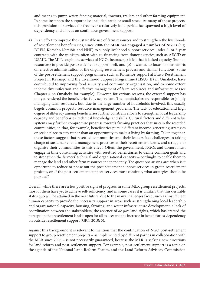and means to pump water, fencing material, tractors, trailers and other farming equipment. In some instances the support also included cattle or small stock. At many of these projects, this provision of services for free over a relatively long period has spawned a **high level of dependency** and a focus on continuous government support.

4) In an effort to improve the sustainable use of farm resources and to strengthen the livelihoods of resettlement beneficiaries, since 2006 the **MLR has engaged a number of NGOs** (e.g. DRFN, Komeho Namibia and NNF) to supply livelihood support services under 2- or 3-year contracts with the ministry, often with co-financing from donor agencies such as AECID or USAID. The MLR sought the services of NGOs because (a) it felt that it lacked capacity (human resources) to provide post-settlement support itself, and (b) it wanted to focus its own efforts on effective administration of the ongoing resettlement process and similar functions. Some of the post-settlement support programmes, such as Komeho's support at Bravo Resettlement Project in Kavango and the Livelihood Support Programme (LISUP II) in Omaheke, have contributed to improving food security and community organisation, and to some extent income diversification and effective management of farm resources and infrastructure (see Chapter 4 on Omaheke for example). However, for various reasons, the external support has not yet rendered the beneficiaries fully self-reliant. The beneficiaries are responsible for jointly managing farm resources, but, due to the large number of households involved, this usually begets common property resource management problems. The lack of education and high degree of illiteracy among beneficiaries further constrain efforts to strengthen local leadership capacity and beneficiaries' technical knowledge and skills. Cultural factors and different value systems may further compromise progress towards farming practices that sustain the resettled communities, in that, for example, beneficiaries pursue different income-generating strategies or seek a place to stay rather than an opportunity to make a living by farming. Taken together, these factors suggest that resettled communities and their leaders face challenges in taking charge of sustainable land management practices at their resettlement farms, and struggle to organise their communities to this effect. Often, the government, NGOs and donors must engage in time-consuming activities with resettled beneficiaries to define common goals and to strengthen the farmers' technical and organisational capacity accordingly, to enable them to manage the land and other farm resources independently. The questions arising are: when is it opportune to reduce or phase out the post-settlement support services in group resettlement projects, or, if the post-settlement support services must continue, what strategies should be pursued?

Overall, while there are a few positive signs of progress in some MLR group resettlement projects, most of them have yet to achieve self-sufficiency, and in some cases it is unlikely that this desirable status quo will be attained in the near future, due to the many challenges faced, such as: insufficient human capacity to provide the necessary support in areas such as strengthening local leadership and organisational capacity, housing, farming, and water infrastructure development; a lack of coordination between the stakeholders; the absence of *de jure* land rights, which has created the perception that resettlement land is open for all to use; and the increase in beneficiaries' dependency on outside resettlement support (GRN 2010: 5).

Against this background it is relevant to mention that the continuation of NGO post-settlement support to group resettlement projects – as implemented by different parties in collaboration with the MLR since 2006 – is not necessarily guaranteed, because the MLR is seeking new directions for land reform and post-settlement support. For example, post-settlement support is a topic on the agenda of the National Land Reform Forum, and the Land Reform Advisory Commission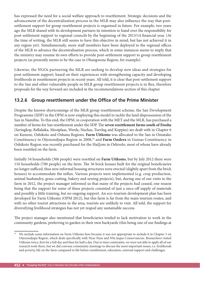has expressed the need for a social welfare approach to resettlement. Strategic decisions and the advancement of the decentralisation process in the MLR may also influence the way that postsettlement support for group resettlement projects is organised in future. For example, two years ago the MLR shared with its development partners its intention to hand over the responsibility for post-settlement support to regional councils by the beginning of the 2013/14 financial year. (At the time of writing, the MLR still seems to have this objective in mind, but has not achieved it in any region yet). Simultaneously, more staff members have been deployed to the regional offices of the MLR to advance the decentralisation process, which in some instances seems to imply that the ministry may resume its own efforts to provide post-settlement support to group resettlement projects (as presently seems to be the case in Ohangwena Region, for example).

Likewise, the NGOs partnering the MLR are seeking to develop new ideas and strategies for post-settlement support, based on their experiences with strengthening capacity and developing livelihoods in resettlement projects in recent years. All told, it is clear that post-settlement support to the San and other vulnerable people in MLR group resettlement projects is in flux, therefore proposals for the way forward are included in the recommendations section of this chapter.

# **13.2.6 Group resettlement under the Office of the Prime Minister**

Despite the known shortcomings of the MLR group resettlement scheme, the San Development Programme (SDP) in the OPM is now employing this model to tackle the land dispossession of the San in Namibia. To this end, the OPM, in cooperation with the MET and the MLR, has purchased a number of farms for San resettlement under the SDP. The seven resettlement farms south of Etosha (Seringkop, Bellalaika, Mooiplaas, Werda, Nuchas, Toevlug and Koppies) are dealt with in Chapter 6 on Kunene, Oshikoto and Oshana Regions. **Farm Uitkoms** was allocated to the San in Omatako Constituency in Otjozondjupa Region in 2008,<sup>25</sup> and **Farm Ondera** in Guinas Constituency in Oshikoto Region was recently purchased for the Hai||om in Oshivelo, most of whom have already been resettled on the farm.

Initially 54 households (306 people) were resettled on **Farm Uitkoms**, but by July 2012 there were 110 households (700 people) on the farm. The 36 brick houses built for the original beneficiaries no longer sufficed, thus new informal housing structures were erected (slightly apart from the brick houses) to accommodate the influx. Various projects were implemented (e.g. crop production, animal husbandry, grass-cutting, bakery and sewing projects), but, during one of our visits to the farm in 2012, the project manager informed us that many of the projects had ceased, one reason being that the support for some of these projects consisted of just a once-off supply of materials and possibly a little training, but no ongoing support. An eco-tourism development plan has been developed for Farm Uitkoms (OPM 2012), but this farm is far from the main tourism routes, and with no other tourist attractions in the area, tourists are unlikely to visit. All told, the support for diversifying livelihood strategies has not yet reaped any sustainable success.

The project manager also mentioned that beneficiaries tended to lack motivation to work in the community gardens, preferring to garden in their own backyards (this being one of our findings at

<sup>&</sup>lt;sup>25</sup> We include some information on Farm Uitkoms here because it was not appropriate to include it in Chapter 5 on Otjozondjupa Region, which deals specifically with Nyae Nyae and N‡a Jaqna Conservancies. Researchers visited Uitkoms twice, first for a full day and then for half a day. Due to time constraints, we were not able to apply all of our research tools there, but we did convene community meetings to discuss the most important issues, i.e. livelihoods and poverty, life on the farm compared to life before resettlement, education, external support and challenges.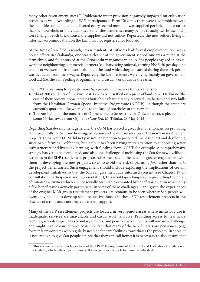many other resettlement sites).<sup>26</sup> Problematic water provision negatively impacted on cultivation activities as well. According to FGD participants at Farm Uitkoms, there were also problems with the quantities of the food aid delivered every second month: it was supplied per brick house rather than per household or individual (as at other sites), and since many people (usually two households) were living in each brick house, the supplies did not suffice. Reportedly the new settlers living in informal accommodation on the farm had not registered for food aid.

At the time of our field research, seven residents of Uitkoms had formal employment: one was a police officer in Okahandja, one was a cleaner at the government school, one was a nurse at the farm clinic, and four worked at the Otjozondu manganese mine. A few people engaged in casual work for neighbouring commercial farmers (e.g. harvesting onions), earning N\$45-50 per day for a couple of weeks/months of work, although the food which they consumed during the work period was deducted from their wages. Reportedly the farm residents were living mainly on government food aid (i.e. the San Feeding Programme) and casual work outside the farm.

The OPM is planning to relocate more San people in Omaheke to two other sites:

- About 300 residents of Epukiro Post 3 are to be resettled on a piece of land some 110 km northeast of their present home, and 20 households have already received 124 heifers and two bulls from the Namibian-German Special Initiative Programme (NGSIP) – although the cattle are currently quartered elsewhere due to the lack of boreholes at the new site.
- The San living on the outskirts of Otjinene are to be resettled at Otjiwamapeta, a piece of land some 160 km away from Otjinene (*New Era*, M. Tjituka, 28 May 2013).

Regarding San development generally, the OPM has placed a great deal of emphasis on providing land specifically for San, and housing, education and healthcare services in the new San resettlement projects. Initially the OPM did not pay similar attention to post-settlement support and developing sustainable farming livelihoods, but lately it has been paying more attention to supporting water infrastructure and livestock farming, with funding from NGSIP for example. A comprehensive strategy has yet to be formulated, and also, the challenge of mobilising the San for new livelihood activities in the SDP resettlement projects raises the issue of the need for greater engagement with them in developing the new projects, so as to avoid the risk of planning *for*, rather than *with*, the project beneficiaries. Such engagement should include exploring the implications of certain development initiatives so that the San can give their fully informed consent (see Chapter 19 on consultation, participation and representation); this would go a long way to precluding the pitfall of initiating activities which are not socially acceptable or wanted by beneficiaries, or in which only a few beneficiaries actively participate. In view of these challenges – and given the experiences of the original MLR group resettlement projects – it remains to be seen whether San people will eventually be able to develop sustainable livelihoods in these SDP resettlement projects in the absence of strong and coordinated external support.

Many of the SDP resettlement projects are located in very remote areas where infrastructure is inadequate, services are unavailable and casual work is scarce. Providing access to healthcare facilities, schools (especially secondary schools) and pension payout points will remain a challenge, and might involve considerable costs. The fact that many of the beneficiaries are pensioners (e.g. former farmworkers) who regularly need healthcare facilities exacerbates the problem. In short, it is not enough to give San people a place that they can call home; it is necessary to also ensure that

This statement also supports practices of the LISUP II programme of the DRFN and Habitafrica Foundation in Omaheke, which entailed partitioning collective gardens into plots for families/individuals.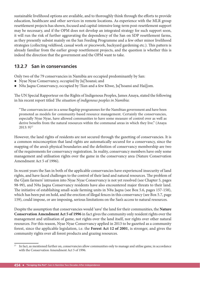sustainable livelihood options are available, and to thoroughly think through the efforts to provide education, healthcare and other services in remote locations. As experience with the MLR group resettlement projects has shown, focused and capital-intensive long-term post-resettlement support may be necessary, and if the OPM does not develop an integrated strategy for such support soon, it will run the risk of further aggravating the dependency of the San on SDP resettlement farms, as they presently subsist mainly on the San Feeding Programme and a few other minor livelihood strategies (collecting veldfood, casual work or piecework, backyard gardening etc.). This pattern is already familiar from the earlier group resettlement projects, and the question is whether this is indeed the direction that the government and the OPM want to take.

# **13.2.7 San in conservancies**

Only two of the 79 conservancies in Namibia are occupied predominantly by San:

- Nyae Nyae Conservancy, occupied by Ju|'hoansi; and
- N‡a Jaqna Conservancy, occupied by !Xun and a few Khwe, Ju|'hoansi and Hai||om.

The UN Special Rapporteur on the Rights of Indigenous Peoples, James Anaya, stated the following in his recent report titled *The situation of indigenous peoples in Namibia*:

"The conservancies are in a sense flagship programmes for the Namibian government and have been promoted as models for community-based resource management. Certainly the conservancies, especially Nyae Nyae, have allowed communities to have some measure of control over as well as derive benefits from the natural resources within the communal areas in which they live." (Anaya  $2013:9)^{27}$ 

However, the land rights of residents are not secured through the gazetting of conservancies. It is a common misconception that land rights are automatically secured for a conservancy, since the mapping of the area's physical boundaries and the definition of conservancy membership are two of the requirements for conservancy registration. In reality, conservancy members have only some management and utilisation rights over the game in the conservancy area (Nature Conservation Amendment Act 5 of 1996).

In recent years the San in both of the applicable conservancies have experienced insecurity of land rights, and have faced challenges to the control of their land and natural resources. The problem of the G|am farmers' intrusion into Nyae Nyae Conservancy is not yet resolved (see Chapter 5, pages 98-99), and N‡a Jaqna Conservancy residents have also encountered major threats to their land. The initiative of establishing small-scale farming units in N‡a Jaqna (see Box 5.6, pages 157-158), which has been put on hold, and the erection of illegal fences in this conservancy (see Box 5.7, page 159), could impose, or are imposing, serious limitations on the San's access to natural resources.

Despite the assumption that conservancies would 'save' the land for their communities, the **Nature Conservation Amendment Act 5 of 1996** in fact gives the community only resident rights over the management and utilisation of game, not rights over the land itself, nor rights over other natural resources. For this reason, Nyae Nyae Conservancy applied in 2013 to be gazetted as a community forest, since the applicable legislation, i.e. the **Forest Act 12 of 2001**, is stronger, and gives the community rights over all forest products and grazing resources.

 $27$  In fact, as mentioned further on, conservancies allow communities only to manage and utilise game, in accordance with the Conservation Amendment Act 5 of 1996.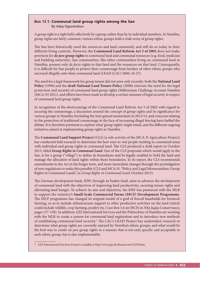#### **Box 13.1:** Communal land group rights among the San By Adey Ogunmokun

A group right is a right held collectively by a group, rather than by its individual members. In Namibia, group rights are fairly common; various ethnic groups hold a wide array of group rights.

The San have historically used the resources and land commonly, and still do so today in their different living contexts. However, the **Communal Land Reform Act 5 of 2002** does not make provision for *de jure* **group rights** to communal land and communal resources (e.g. food, medicine and building materials). San communities, like other communities living on communal land in Namibia, possess only *de facto* rights to that land and the resources on that land. Consequently, it is difficult for San people to protect their commonage from herders of other ethnic groups who encroach illegally onto their communal land (LEAD (LAC) 2006: 24-27).

The need for a legal framework for group tenure did not arise only recently: both the **National Land Policy** (1998) and the **draft National Land Tenure Policy** (2008) reiterate the need for the legal protection and security of communal land group rights (Millennium Challenge Account Namibia (MCA-N) 2011), and efforts have been made to develop a certain measure of legal security in respect of communal land group rights.

In recognition of the shortcomings of the Communal Land Reform Act 5 of 2002 with regard to securing the commonage, a discussion around the concept of group rights and its significance for various groups in Namibia (including the San) gained momentum in 2012/13, and concerns relating to the protection of traditional commonage in the face of increasing illegal fencing have fuelled the debate. It is therefore pertinent to explore what 'group rights' might entail, and the different ongoing initiatives aimed at implementing group rights in Namibia.

The **Communal Land Support Project** (CLS) (a sub-activity of the MCA-N Agriculture Project) has conducted field research to determine the best ways to vest people residing in communal areas with individual and group rights to communal land. The CLS produced a draft report in October 2013, titled *Group Rights in Communal Land*. One of the CLS proposals which would apply to the San, is for a group ("village") to define its boundaries and be legally enabled to hold the land and manage the allocation of land rights within those boundaries. In its report, the CLS recommends amendments to the Act in the longer term, and more immediate changes through the promulgation of new regulations to make this possible (CLS and MCA-N, "Policy and Legal Memorandum: Group Rights in Communal Lands", in *Group Rights in Communal Land*, October 2013).

The German development bank, KfW, through its basket fund, aims to advance the development of communal land with the objectives of improving land productivity, securing tenure rights and alleviating land hunger. To achieve its aim and objectives, the KfW has partnered with the MLR to support the ministry's **Small Scale Commercial Farms (SSCF) Development Programme**. The SSCF programme has changed its original model of a grid of fenced leaseholds for livestock farming, so as to include infrastructure support to other productive activities on the land (which could include wildlife, crop farming, poultry etc.) (see Box 5.6 on SSCFs in N‡a Jaqna Conservancy, pages 157-158). In addition, GIZ International Services and the Polytechnic of Namibia are working with the MLR to create a system for communal land registration and to introduce new methods of establishing communal land security.<sup>a</sup> The LAC's LEAD Project has undertaken research to determine what group rights are currently enjoyed by Namibia's ethnic groups, and what would be the best way to confer *de jure* group rights in a manner that is not only specific and acceptable to each ethnic group, but is also implementable.

a GIZ International Services Projects available at http://www.giz.de/themen/en/33258.htm.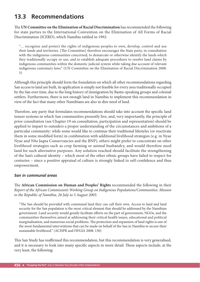# **13.3 Recommendations**

The UN Committee on the Elimination of Racial Discrimination has recommended the following for state parties to the International Convention on the Elimination of All Forms of Racial Discrimination (ICERD), which Namibia ratified in 1992:

"… recognize and protect the rights of indigenous peoples to own, develop, control and use their lands and territories. [The Committee] therefore encourages the State party, in consultation with the indigenous communities concerned, to demarcate or otherwise identify the lands which they traditionally occupy or use, and to establish adequate procedures to resolve land claims by indigenous communities within the domestic judicial system while taking due account of relevant indigenous customary laws." (UN Committee on the Elimination of Racial Discrimination 2008: 5)

Although this principle should form the foundation on which all other recommendations regarding San access to land are built, its application is simply not feasible for every area traditionally occupied by the San over time, due to the long history of immigration by Bantu-speaking groups and colonial settlers. Furthermore, there is not enough land in Namibia to implement this recommendation in view of the fact that many other Namibians are also in dire need of land.

Therefore, any party that formulates recommendations should take into account the specific land tenure systems in which San communities presently live, and, very importantly, the principle of prior consultation (see Chapter 19 on consultation, participation and representation) should be applied to impart to outsiders a proper understanding of the circumstances and ambitions of a particular community: while some would like to continue their traditional lifestyles (or reactivate them in some modified form) in combination with additional livelihood strategies (e.g. in Nyae Nyae and N‡a Jaqna Conservancies and the BNP), others might prefer to concentrate on other livelihood strategies such as crop farming or animal husbandry, and would therefore need land for such alternative purposes. Any solution reached should facilitate the strengthening of the San's cultural identity – which most of the other ethnic groups have failed to respect for centuries – since a positive appraisal of culture is strongly linked to self-confidence and thus empowerment.

#### *San in communal areas*

The African Commission on Human and Peoples' Rights recommended the following in their *Report of the African Commission's Working Group on Indigenous Populations/Communities: Mission to the Republic of Namibia, 26 July to 5 August 2005*:

"The San should be provided with communal land they can call their own. Access to land and land security for the San population is the most critical element that should be addressed by the Namibian government. Land security would greatly facilitate efforts on the part of government, NGOs, and the communities themselves aimed at addressing their critical health issues, educational and political marginalisation, and numerous social problems. The protection and expansion of land rights is one of the most fundamental interventions that can be made on behalf of the San in Namibia to secure their sustainable livelihood." (ACHPR and IWGIA 2008: 130)

This San Study has reaffirmed this recommendation, but this recommendation is very generalised, and it is necessary to look into many specific aspects in more detail. These aspects include, at the very least, the following: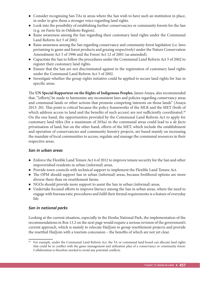- Consider recognising San TAs in areas where the San wish to have such an institution in place, in order to give them a stronger voice regarding land rights.
- Look into the possibility of establishing further conservancies or community forests for the San (e.g. on Farm Six in Oshikoto Region).
- Raise awareness among the San regarding their customary land rights under the Communal Land Reform Act 5 of 2002.
- Raise awareness among the San regarding conservancy and community forest legislation (i.e. laws pertaining to game and forest products and grazing respectively) under the Nature Conservation Amendment Act 5 of 1996 and the Forest Act 12 of 2001 (as amended).
- Capacitate the San to follow the procedures under the Communal Land Reform Act 5 of 2002 to register their customary land rights.
- Ensure that the San are not discriminated against in the registration of customary land rights under the Communal Land Reform Act 5 of 2002.
- Investigate whether the group rights initiative could be applied to secure land rights for San in specific areas.

The UN Special Rapporteur on the Rights of Indigenous Peoples, James Anaya, also recommended that, "[efforts] be made to harmonize any inconsistent laws and policies regarding conservancy areas and communal lands or other actions that promote competing interests on those lands" (Anaya 2013: 20). This point is critical because the policy frameworks of the MLR and the MET (both of which address access to land and the benefits of such access) are not sufficiently coordinated.<sup>28</sup> On the one hand, the opportunities provided by the Communal Land Reform Act to apply for customary land titles (for a maximum of 20 ha) in the communal areas could lead to a *de facto* privatisation of land, but on the other hand, efforts of the MET, which include the establishment and operation of conservancies and community forestry projects, are based mainly on increasing the mandate of local communities to access, regulate and manage the communal resources in their respective areas.

# *San in urban areas*

- Enforce the Flexible Land Tenure Act 4 of 2012 to improve tenure security for the San and other impoverished residents in urban (informal) areas.
- Provide town councils with technical support to implement the Flexible Land Tenure Act.
- The OPM should support San in urban (informal) areas, because livelihood options are more diverse there than on resettlement farms.
- NGOs should provide more support to assist the San in urban (informal) areas.
- Undertake focused efforts to improve literacy among the San in urban areas, where the need to engage with bureaucratic procedures and fulfil their formal requirements is a feature of everyday life.

#### *San in national parks*

Looking at the current situation, especially in the Etosha National Park, the implementation of the recommendations in Box 13.2 on the next page would require a serious revision of the government's current approach, which is mainly to relocate Hai||om to group resettlement projects and provide the resettled Hai||om with a tourism concession – the benefits of which are not yet clear.

<sup>&</sup>lt;sup>28</sup> For example, under the Communal Land Reform Act, the TA or communal land board can allocate land rights that could be in conflict with the game management and utilisation plan of a conservancy or community forest. Collaboration is therefore needed to avoid any potential conflicts.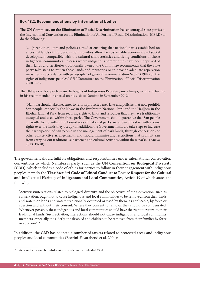#### **Box 13.2:** Recommendations by international bodies

The UN Committee on the Elimination of Racial Discrimination has encouraged state parties to the International Convention on the Elimination of All Forms of Racial Discrimination (ICERD) to do the following:

"… [strengthen] laws and policies aimed at ensuring that national parks established on ancestral lands of indigenous communities allow for sustainable economic and social development compatible with the cultural characteristics and living conditions of those indigenous communities. In cases where indigenous communities have been deprived of their lands and territories traditionally owned, the Committee recommends that the State party take steps to return those lands and territories or to provide adequate reparation measures, in accordance with paragraph 5 of general recommendation No. 23 (1997) on the rights of indigenous peoples." (UN Committee on the Elimination of Racial Discrimination 2008: 5-6)

The UN Special Rapporteur on the Rights of Indigenous Peoples, James Anaya, went even further in his recommendations based on his visit to Namibia in September 2012:

"Namibia should take measures to reform protected area laws and policies that now prohibit San people, especially the Khwe in the Bwabwata National Park and the Hai||om in the Etosha National Park, from securing rights to lands and resources that they have traditionally occupied and used within those parks. The Government should guarantee that San people currently living within the boundaries of national parks are allowed to stay, with secure rights over the lands they occupy. In addition, the Government should take steps to increase the participation of San people in the management of park lands, through concessions or other constructive arrangements, and should minimize any restrictions that prohibit San from carrying out traditional subsistence and cultural activities within these parks." (Anaya 2013: 19-20)

The government should fulfil its obligations and responsibilities under international conservation conventions to which Namibia is party, such as the **UN Convention on Biological Diversity (CBD)**, which includes a code of ethics for parties to follow in their engagement with indigenous peoples, namely the **Tkarihwaié:ri Code of Ethical Conduct to Ensure Respect for the Cultural and Intellectual Heritage of Indigenous and Local Communities,** Article 19 of which states the following:

"Activities/interactions related to biological diversity, and the objectives of the Convention, such as conservation, ought not to cause indigenous and local communities to be removed from their lands and waters or lands and waters traditionally occupied or used by them, as applicable, by force or coercion and without their consent. Where they consent to removal they should be compensated. Whenever possible, these indigenous and local communities should have the right to return to their traditional lands. Such activities/interactions should not cause indigenous and local community members, especially the elderly, the disabled and children to be removed from their families by force or coercion." 29

In addition, the CBD has adopted a number of targets related to protected areas and indigenous peoples and local communities (Borrini-Feyarabend et al. 2004):

<sup>&</sup>lt;sup>29</sup> Accessed at www.cbd.int/decision/cop/default.shtml?id=12308.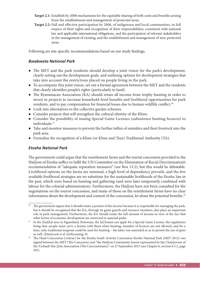- **Target 2.1:** Establish by 2008 mechanisms for the equitable sharing of both costs and benefits arising from the establishment and management of protected areas.
- Target 2.2: Full and effective participation by 2008, of indigenous and local communities, in full respect of their rights and recognition of their responsibilities, consistent with national law and applicable international obligations, and the participation of relevant stakeholders in the management of existing, and the establishment and management of new, protected areas.

Following are site-specific recommendations based on our study findings.

### *Bwabwata National Park*

- The MET and the park residents should develop a joint vision for the park's development, clearly setting out the development goals, and outlining options for development strategies that take into account the restrictions placed on people living in the park.
- To accompany this joint vision, set out a formal agreement between the MET and the residents that clearly identifies people's rights (particularly to land).
- The Kyaramacan Association (KA) should retain all income from trophy hunting in order to invest in projects to increase household-level benefits and livelihood opportunities for park residents, and to pay compensation for financial losses due to human-wildlife conflict.<sup>30</sup>
- Look into alternatives to the collective garden schemes.
- Consider projects that will strengthen the cultural identity of the Khwe.
- Consider the possibility of issuing Special Game Licenses (subsistence hunting licences) to individuals.31
- Take and monitor measures to prevent the further influx of outsiders and their livestock into the park area.
- Formalise the recognition of a Khwe (or Khwe and !Xun) Traditional Authority (TA).

#### *Etosha National Park*

The government could argue that the resettlement farms and the tourist concession provided to the Hai||om of Etosha suffice to fulfil the UN Committee on the Elimination of Racial Discrimination's recommendation of "adequate reparation measures" (see Box 13.2), but this would be debatable. Livelihood options on the farms are minimal, a high level of dependency prevails, and the few available livelihood strategies are no substitute for the sustainable livelihoods of the Etosha San in the past, which were based on hunting and gathering (and were later temporarily combined with labour for the colonial administration). Furthermore, the Hai||om have not been consulted for the negotiations on the tourist concession, and many of those on the resettlement farms have no clear information about the development and content of the concession, let alone the potential benefits.<sup>32</sup>

<sup>&</sup>lt;sup>30</sup> The government argues that it should retain a portion of the income because it is responsible for managing the park, but it should be recognised that the KA, through its game guards and resource monitors, also plays an important role in park management. Furthermore, the KA should retain the full amount of income in view of the fact that other forms of economic development are restricted in national parks.

<sup>&</sup>lt;sup>31</sup> In the |Xai|Xai area in Ngamiland, Botswana, the Ju|'hoansi can apply for a Special Game License, the regulations being that: people must carry a license with them when hunting; transfers of licences are not allowed; and for a time, only traditional weapons could be used for hunting – the latter was amended so as to permit the use of guns as well. (Hitchcock et al. forthcoming: 8)

<sup>&</sup>lt;sup>32</sup> The Head Concession Contract for the Etosha South Activity Concession Etosha National Park (MET 2012) was signed between the MET (The Concessor) and "the Hai||om Community herein represented by the Chairperson of the !Gobaub Hai- $|$ om Association (The Concessionaire)" on 27 September 2013 (see Chapter 6, section 6.3.2, page 205).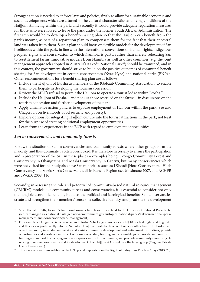Stronger action is needed to enforce laws and policies, firstly to allow for sustainable economic and social developments which are attuned to the cultural characteristics and living conditions of the Hai||om still living within the park, and secondly it would provide adequate reparation measures for those who were forced to leave the park under the former South African Administration. The first step would be to develop a benefit-sharing plan so that the Hai||om can benefit from the park's income, as part of a reparation plan to compensate them for the fact that their ancestral land was taken from them. Such a plan should focus on flexible models for the development of San livelihoods within the park, in line with the international conventions on human rights, indigenous peoples' rights and conservation to which Namibia is party, rather than merely relocating San to resettlement farms. Innovative models from Namibia as well as other countries (e.g. the joint management approach adopted in Australia's Kakadu National Park<sup>33</sup>) should be examined, and in this context, the government should strive to build on the positive outcomes of communal benefit sharing for San development in certain conservancies (Nyae Nyae) and national parks (BNP).<sup>34</sup> Other recommendations for a benefit sharing plan are as follows:

- Include the Hai||om of Etosha as members of the !Gobaub Community Association, to enable them to participate in developing the tourism concession.
- Review the MET's refusal to permit the Hai||om to operate a tourist lodge within Etosha.<sup>35</sup>
- Include the Hai||om of Etosha and not just those resettled on the farms in discussions on the tourism concession and further development of the park.
- Apply affirmative action policies to espouse employment of Hai||om within the park (see also Chapter 14 on livelihoods, food security and poverty).
- Explore options for integrating Hai||om culture into the tourist attractions in the park, not least for the purpose of creating additional employment opportunities.
- Learn from the experiences in the BNP with regard to employment opportunities.

#### *San in conservancies and community forests*

Firstly, the situation of San in conservancies and community forests where other groups form the majority, and thus dominate, is often overlooked. It is therefore necessary to ensure the participation and representation of the San in these places – examples being Okongo Community Forest and Conservancy in Ohangwena and Mashi Conservancy in Caprivi, but many conservancies which were not visited for this study also have San minorities, such as ‡Khoadi |Hôas Conservancy, ||Huab Conservancy and Sorris Sorris Conservancy, all in Kunene Region (see Mosimane 2007, and ACHPR and IWGIA 2008: 116).

Secondly, in assessing the role and potential of community-based natural resource management (CBNRM) models like community forests and conservancies, it is essential to consider not only the tangible economic benefits, but also the political and ideological benefits. San conservancies create and strengthen their members' sense of a collective identity, and promote the development

<sup>&</sup>lt;sup>33</sup> Since the late 1970s, Kakadu's traditional owners have leased their land to the Director of National Parks to be jointly managed as a national park (see www.environment.gov.au/topics/national-parks/kakadu-national-park/ management-and-conservation/park-management).

<sup>&</sup>lt;sup>34</sup> For example, all Onguma Game Reserve and Etosha Aoba lodges raise a levy of N\$ 10 per bed night sold to guests, and this levy is paid directly into the Namutoni Hai||om Trust's bank account on a monthly basis. The trust's main objectives are to, inter alia: undertake and assist community development and anti-poverty initiatives; provide opportunities and assistance in respect of house ownership, training and sustainable jobs; provide and assist with training and support to emerging micro-enterprises within the community; and promote community-based projects relating to self-empowerment and skills development. The Hai||om at Oshivelo are the target group (Onguma Private Game Reserve n.d.).

<sup>&</sup>lt;sup>35</sup> This was also a recommendation of the UN Special Rapporteur on the Rights of Indigenous Peoples (Anaya 2013: 20).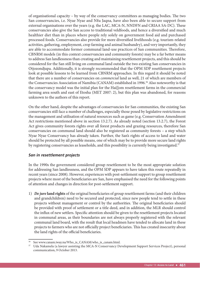of organisational capacity – by way of the conservancy committees as managing bodies. The two San conservancies, i.e. Nyae Nyae and N‡a Jaqna, have also been able to secure support from external organisations over the years (e.g. the LAC, MCA-N, NNDFN and CRIAA SA-DC). These conservancies also give the San access to traditional veldfoods, and hence a diversified and much healthier diet than in places where people rely solely on government food aid and purchased processed foods. Conservancies also provide for more diversified livelihoods (e.g. tourism-related activities, gathering, employment, crop farming and animal husbandry), and very importantly, they are able to accommodate former communal land-use practices of San communities. Therefore, CBNRM models (in this context conservancies and community forests) may be a far better means to address San landlessness than creating and maintaining resettlement projects, and this should be considered for the San still living on communal land outside the two existing San conservancies in Otjozondjupa. Additionally, it is strongly recommended that the OPM SDP resettlement projects look at possible lessons to be learned from CBNRM approaches. In this regard it should be noted that there are a number of conservancies on *commercial* land as well, 21 of which are members of the Conservancies Association of Namibia (CANAM) established in 1996.<sup>36</sup> Also noteworthy is that the conservancy model was the initial plan for the Hai||om resettlement farms in the commercial farming area south and east of Etosha (MET 2007: 2), but this plan was abandoned, for reasons unknown to the authors of this report.

On the other hand, despite the advantages of conservancies for San communities, the existing San conservancies still face a number of challenges, especially those posed by legislative restrictions on the management and utilisation of natural resources such as game (e.g. Conservation Amendment Act restrictions mentioned above in section 13.2.7). As already noted (section 13.2.7), the Forest Act gives community forests rights over all forest products and grazing resources, therefore San conservancies on communal land should also be registered as community forests – a step which Nyae Nyae Conservancy has already taken. Further, the San's rights of access to land and water should be protected by all possible means, one of which may be to provide more secure land rights by registering conservancies as leaseholds, and this possibility is currently being investigated.<sup>37</sup>

#### *San in resettlement projects*

In the 1990s the government considered group resettlement to be the most appropriate solution for addressing San landlessness, and the OPM SDP appears to have taken this route repeatedly in recent years (since 2008). However, experiences with post-settlement support to group resettlement projects where most of the beneficiaries are San, have emphasised the need for the following points of attention and changes in direction for post-settlement support.

1) *De jure* land rights of the original beneficiaries of group resettlement farms (and their children and grandchildren) need to be secured and protected, since new people tend to settle in these projects without management or control by the authorities. The original beneficiaries should be provided with proof of settlement or a title deed, and in addition, the MLR should control the influx of new settlers. Specific attention should be given to the resettlement projects located in communal areas, as their boundaries are not always properly registered with the relevant communal land board, with the result that local headmen have tended to allocate land in these projects to farmers who are not officially project beneficiaries. This has created insecurity about the land rights of the official beneficiaries.

See www.canam.iway.na/Who\_is\_CANAM/who\_is\_canam.html.

Uda Nakamela (a lawyer assisting the MCA-N Conservancy Development Support Services Project), personal communication, 9 October 2013.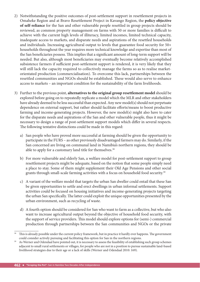- 2) Notwithstanding the positive outcomes of post-settlement support in resettlement projects in Omaheke Region and at Bravo Resettlement Project in Kavango Region, the **policy objective of self-reliance** for the San and other vulnerable people resettled in group projects should be reviewed, as common property management on farms with 50 or more families is difficult to achieve with the current high levels of illiteracy, limited incomes, limited technical capacity, inadequate access to markets, and disparate needs and aspirations of the resettled households and individuals. Increasing agricultural output to levels that guarantee food security for 50+ households throughout the year requires more technical knowledge and expertise than most of the San beneficiaries possess. This implies that a significant amount of long-term support will be needed. But also, although most beneficiaries may eventually become relatively accomplished subsistence farmers if sufficient post-settlement support is rendered, it is very likely that they will still lack the capacity required to collectively manage the farms so as to realise marketorientated production (commercialisation). To overcome this lack, partnerships between the resettled communities and NGOs should be established. These would also serve to enhance access to markets – an important condition for the sustainability of the farm livelihoods.
- 3) Further to the previous point, **alternatives to the original group resettlement model** should be explored before going on to repeatedly replicate a model which the MLR and other stakeholders have already deemed to be less successful than expected. Any new model(s) should not perpetuate dependence on external support, but rather should facilitate efforts/means to boost productive farming and income-generating projects. However, the new model(s) might also have to cater for the disparate needs and aspirations of the San and other vulnerable people, thus it might be necessary to design a range of post-settlement support models which differ in several respects. The following tentative distinctions could be made in this regard:
	- a) San people who have proved more successful at farming should be given the opportunity to participate in the FURS – as other previously disadvantaged farmers may do. Similarly, if the San concerned are living on communal land in Namibia's northern regions, they should be able to apply for a customary land title for themselves.<sup>38</sup>
	- b) For more vulnerable and elderly San, a welfare model for post-settlement support to group resettlement projects might be adequate, based on the notion that some people simply need a place to stay. Some of them might supplement their Old Age Pensions and other social grants through small-scale farming activities with a focus on household food security.<sup>39</sup>
	- c) A variant of the welfare model that targets the urban San dweller could entail that these San be given opportunities to settle and erect dwellings in urban informal settlements. Support activities could be focused on housing initiatives and income-generating projects targeting the urban San specifically. The latter could exploit the unique opportunities presented by the urban environment, such as recycling of waste.
	- d) A fourth option should be considered for San who want to farm as a collective, but who also want to increase agricultural output beyond the objective of household food security, with the support of service providers. This model should explore options for (semi-) commercial production through partnerships between the San communities and NGOs or the private

<sup>&</sup>lt;sup>38</sup> This is already possible under the current policy framework, but in practice it hardly ever happens. The government could consider actively pursuing and facilitating this option for San in the northern regions.

As Werner and Odendaal have pointed out, it is necessary to assess the feasibility of establishing such group schemes adjacent to small rural settlements or villages, for people who are not in a position to pursue sustainable land-based livelihood strategies due to their age or a lack of skills (Werner and Odendaal 2010: 169).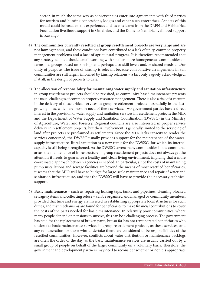sector, in much the same way as conservancies enter into agreements with third parties for tourism and hunting concessions, lodges and other such enterprises. Aspects of this model could be based on the experiences and lessons learnt from the DRFN and Habitafrica Foundation livelihood support in Omaheke, and the Komeho Namibia livelihood support in Kavango.

- 4) The communities currently resettled at group resettlement projects are very large and are **not homogeneous**, and these conditions have contributed to a lack of unity, common property management problems and a lack of agricultural progress. It is therefore recommended that any strategy adopted should entail working with smaller, more homogeneous communities on farms, i.e. groups based on kinship, and perhaps also skill levels and/or shared needs and/or unity of purpose. The issue of kinship is relevant because collaborative arrangements in San communities are still largely informed by kinship relations – a fact only vaguely acknowledged, if at all, in the design of projects to date.
- 5) The allocation of **responsibility for maintaining water supply and sanitation infrastructure** in group resettlement projects should be revisited, as community-based maintenance presents the usual challenges of common property resource management. There is also a risk of a vacuum in the delivery of these critical services to group resettlement projects – especially in the fastgrowing ones, which are most in need of these services. Two government parties have a direct interest in the provision of water supply and sanitation services in resettlement projects: the MLR and the Department of Water Supply and Sanitation Coordination (DWSSC) in the Ministry of Agriculture, Water and Forestry. Regional councils are also interested in proper service delivery in resettlement projects, but their involvement is generally limited to the servicing of land after projects are proclaimed as settlements. Since the MLR lacks capacity to render the services concerned, the DWSSC usually provides support for the maintenance of the watersupply infrastructure. Rural sanitation is a new remit for the DWSSC, for which its internal capacity is still being strengthened. As the DWSSC covers many communities in the communal areas, the maintenance of infrastructure in group resettlement projects does not always get the attention it needs to guarantee a healthy and clean living environment, implying that a more coordinated approach between agencies is needed. In particular, since the costs of maintaining pump installations and sewage facilities are beyond the means of most resettled beneficiaries, it seems that the MLR will have to budget for large-scale maintenance and repair of water and sanitation infrastructure, and that the DWSSC will have to provide the necessary technical support.
- 6) **Basic maintenance** such as repairing leaking taps, tanks and pipelines, cleaning blocked sewage systems and collecting refuse – can be organised and managed by community members, provided that time and energy are invested in establishing appropriate local structures for such duties, and that mechanisms are found for beneficiaries to make financial contributions to cover the costs of the parts needed for basic maintenance. In relatively poor communities, where many people depend on pensions to survive, this can be a challenging process. The government has paid for the replacement of broken parts, but so far has not remunerated beneficiaries who undertake basic maintenance services in group resettlement projects, as these services, and any remuneration for those who undertake them, are considered to be responsibilities of the resettled communities. However, conflicts about water distribution or maintenance backlogs are often the order of the day, as the basic maintenance services are usually carried out by a small group of people on behalf of the larger community on a voluntary basis. Therefore, the government and development partners may need to reconsider whether or not it is appropriate